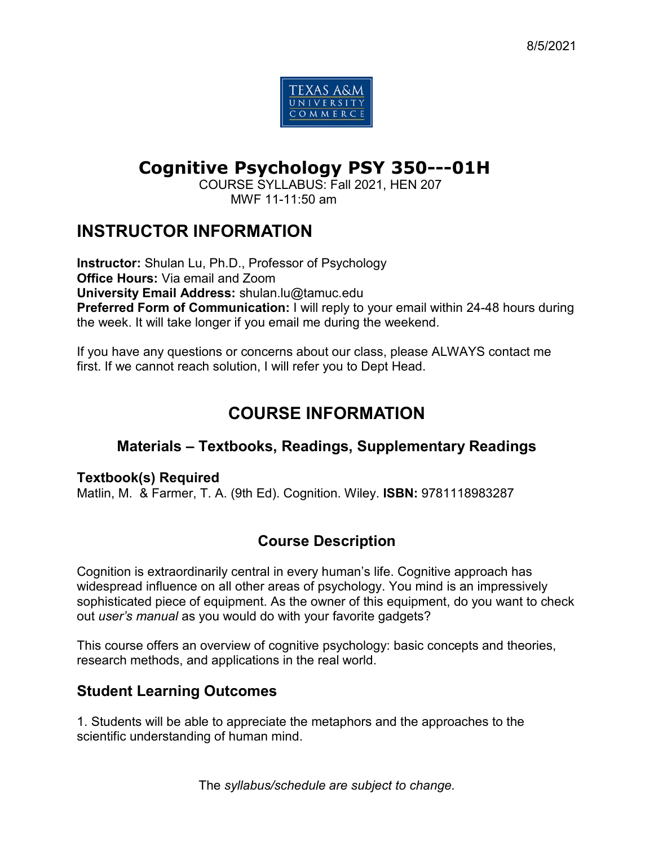

# **Cognitive Psychology PSY 350---01H**

COURSE SYLLABUS: Fall 2021, HEN 207 MWF 11-11:50 am

## **INSTRUCTOR INFORMATION**

**Instructor:** Shulan Lu, Ph.D., Professor of Psychology **Office Hours:** Via email and Zoom **University Email Address:** shulan.lu@tamuc.edu **Preferred Form of Communication:** I will reply to your email within 24-48 hours during the week. It will take longer if you email me during the weekend.

If you have any questions or concerns about our class, please ALWAYS contact me first. If we cannot reach solution, I will refer you to Dept Head.

## **COURSE INFORMATION**

## **Materials – Textbooks, Readings, Supplementary Readings**

#### **Textbook(s) Required**

Matlin, M. & Farmer, T. A. (9th Ed). Cognition. Wiley. **ISBN:** 9781118983287

## **Course Description**

Cognition is extraordinarily central in every human's life. Cognitive approach has widespread influence on all other areas of psychology. You mind is an impressively sophisticated piece of equipment. As the owner of this equipment, do you want to check out *user's manual* as you would do with your favorite gadgets?

This course offers an overview of cognitive psychology: basic concepts and theories, research methods, and applications in the real world.

## **Student Learning Outcomes**

1. Students will be able to appreciate the metaphors and the approaches to the scientific understanding of human mind.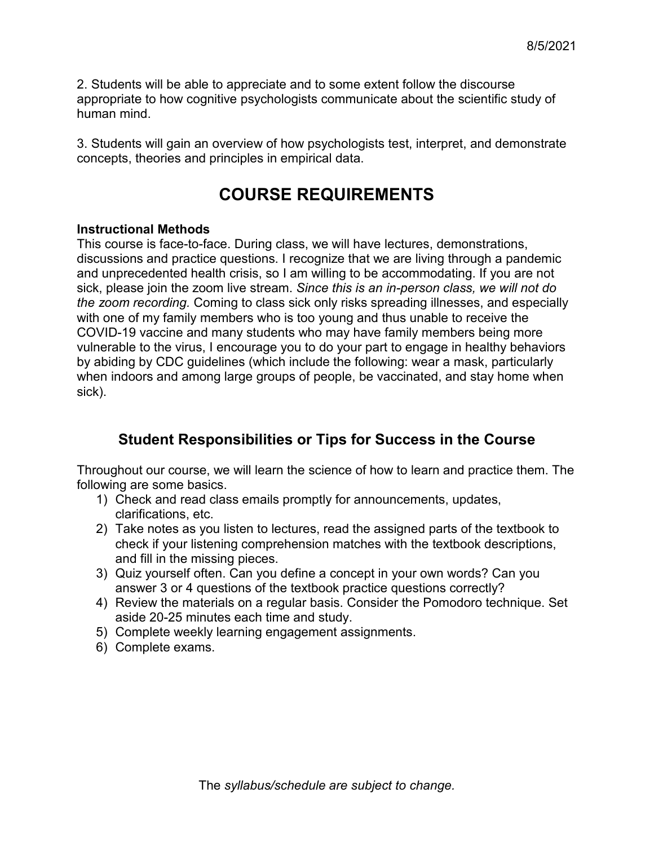2. Students will be able to appreciate and to some extent follow the discourse appropriate to how cognitive psychologists communicate about the scientific study of human mind.

3. Students will gain an overview of how psychologists test, interpret, and demonstrate concepts, theories and principles in empirical data.

## **COURSE REQUIREMENTS**

#### **Instructional Methods**

This course is face-to-face. During class, we will have lectures, demonstrations, discussions and practice questions. I recognize that we are living through a pandemic and unprecedented health crisis, so I am willing to be accommodating. If you are not sick, please join the zoom live stream. *Since this is an in-person class, we will not do the zoom recording.* Coming to class sick only risks spreading illnesses, and especially with one of my family members who is too young and thus unable to receive the COVID-19 vaccine and many students who may have family members being more vulnerable to the virus, I encourage you to do your part to engage in healthy behaviors by abiding by CDC guidelines (which include the following: wear a mask, particularly when indoors and among large groups of people, be vaccinated, and stay home when sick).

## **Student Responsibilities or Tips for Success in the Course**

Throughout our course, we will learn the science of how to learn and practice them. The following are some basics.

- 1) Check and read class emails promptly for announcements, updates, clarifications, etc.
- 2) Take notes as you listen to lectures, read the assigned parts of the textbook to check if your listening comprehension matches with the textbook descriptions, and fill in the missing pieces.
- 3) Quiz yourself often. Can you define a concept in your own words? Can you answer 3 or 4 questions of the textbook practice questions correctly?
- 4) Review the materials on a regular basis. Consider the Pomodoro technique. Set aside 20-25 minutes each time and study.
- 5) Complete weekly learning engagement assignments.
- 6) Complete exams.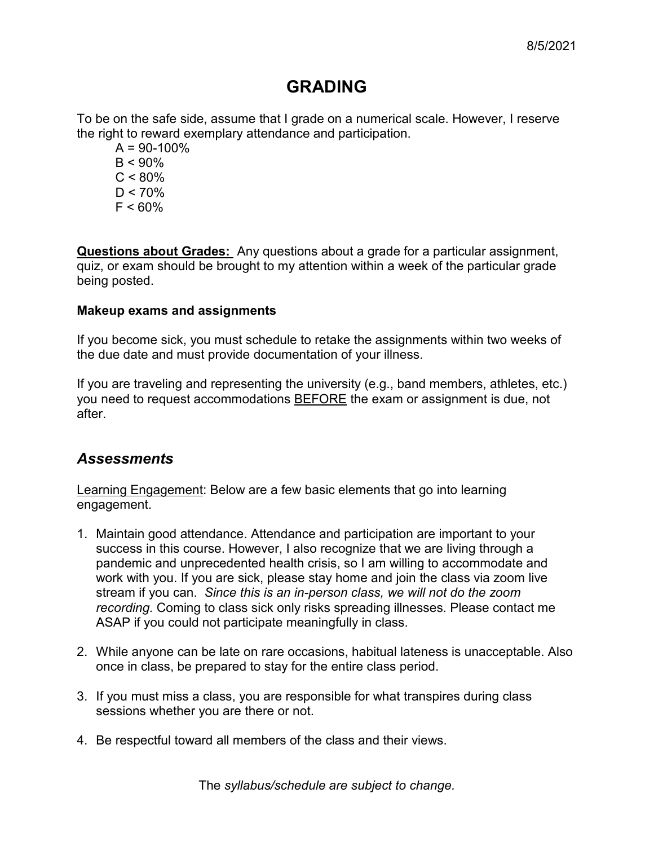## **GRADING**

To be on the safe side, assume that I grade on a numerical scale. However, I reserve the right to reward exemplary attendance and participation.

- $A = 90-100\%$  $B < 90\%$  $C < 80\%$  $D < 70\%$
- $F < 60%$

**Questions about Grades:** Any questions about a grade for a particular assignment, quiz, or exam should be brought to my attention within a week of the particular grade being posted.

#### **Makeup exams and assignments**

If you become sick, you must schedule to retake the assignments within two weeks of the due date and must provide documentation of your illness.

If you are traveling and representing the university (e.g., band members, athletes, etc.) you need to request accommodations BEFORE the exam or assignment is due, not after.

## *Assessments*

Learning Engagement: Below are a few basic elements that go into learning engagement.

- 1. Maintain good attendance. Attendance and participation are important to your success in this course. However, I also recognize that we are living through a pandemic and unprecedented health crisis, so I am willing to accommodate and work with you. If you are sick, please stay home and join the class via zoom live stream if you can. *Since this is an in-person class, we will not do the zoom recording.* Coming to class sick only risks spreading illnesses. Please contact me ASAP if you could not participate meaningfully in class.
- 2. While anyone can be late on rare occasions, habitual lateness is unacceptable. Also once in class, be prepared to stay for the entire class period.
- 3. If you must miss a class, you are responsible for what transpires during class sessions whether you are there or not.
- 4. Be respectful toward all members of the class and their views.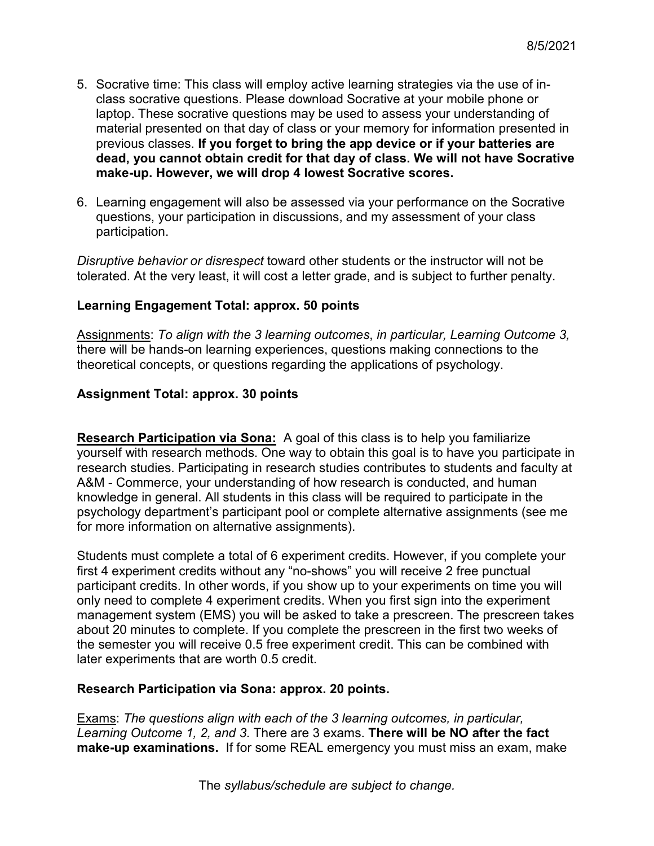- 5. Socrative time: This class will employ active learning strategies via the use of inclass socrative questions. Please download Socrative at your mobile phone or laptop. These socrative questions may be used to assess your understanding of material presented on that day of class or your memory for information presented in previous classes. **If you forget to bring the app device or if your batteries are dead, you cannot obtain credit for that day of class. We will not have Socrative make-up. However, we will drop 4 lowest Socrative scores.**
- 6. Learning engagement will also be assessed via your performance on the Socrative questions, your participation in discussions, and my assessment of your class participation.

*Disruptive behavior or disrespect* toward other students or the instructor will not be tolerated. At the very least, it will cost a letter grade, and is subject to further penalty.

#### **Learning Engagement Total: approx. 50 points**

Assignments: *To align with the 3 learning outcomes*, *in particular, Learning Outcome 3,*  there will be hands-on learning experiences, questions making connections to the theoretical concepts, or questions regarding the applications of psychology.

#### **Assignment Total: approx. 30 points**

**Research Participation via Sona:** A goal of this class is to help you familiarize yourself with research methods. One way to obtain this goal is to have you participate in research studies. Participating in research studies contributes to students and faculty at A&M - Commerce, your understanding of how research is conducted, and human knowledge in general. All students in this class will be required to participate in the psychology department's participant pool or complete alternative assignments (see me for more information on alternative assignments).

Students must complete a total of 6 experiment credits. However, if you complete your first 4 experiment credits without any "no-shows" you will receive 2 free punctual participant credits. In other words, if you show up to your experiments on time you will only need to complete 4 experiment credits. When you first sign into the experiment management system (EMS) you will be asked to take a prescreen. The prescreen takes about 20 minutes to complete. If you complete the prescreen in the first two weeks of the semester you will receive 0.5 free experiment credit. This can be combined with later experiments that are worth 0.5 credit.

#### **Research Participation via Sona: approx. 20 points.**

Exams: *The questions align with each of the 3 learning outcomes, in particular, Learning Outcome 1, 2, and 3.* There are 3 exams. **There will be NO after the fact make-up examinations.** If for some REAL emergency you must miss an exam, make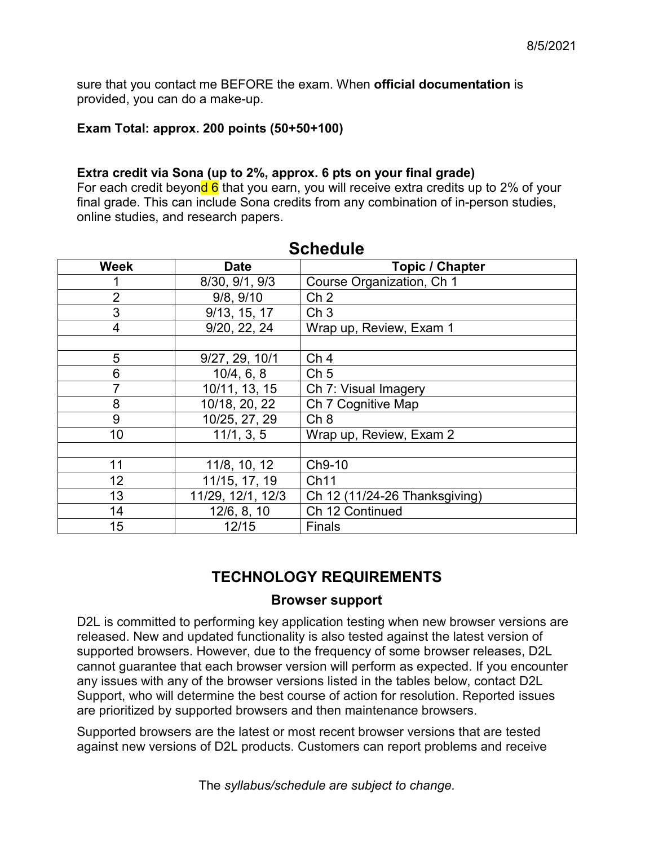sure that you contact me BEFORE the exam. When **official documentation** is provided, you can do a make-up.

#### **Exam Total: approx. 200 points (50+50+100)**

#### **Extra credit via Sona (up to 2%, approx. 6 pts on your final grade)**

For each credit beyond  $6$  that you earn, you will receive extra credits up to 2% of your final grade. This can include Sona credits from any combination of in-person studies, online studies, and research papers.

| <b>Week</b>    | <b>Date</b>       | <b>Topic / Chapter</b>        |  |  |  |
|----------------|-------------------|-------------------------------|--|--|--|
|                | 8/30, 9/1, 9/3    | Course Organization, Ch 1     |  |  |  |
| $\overline{2}$ | 9/8, 9/10         | Ch <sub>2</sub>               |  |  |  |
| 3              | 9/13, 15, 17      | Ch <sub>3</sub>               |  |  |  |
| $\overline{4}$ | 9/20, 22, 24      | Wrap up, Review, Exam 1       |  |  |  |
|                |                   |                               |  |  |  |
| 5              | 9/27, 29, 10/1    | Ch <sub>4</sub>               |  |  |  |
| 6              | 10/4, 6, 8        | Ch <sub>5</sub>               |  |  |  |
| 7              | 10/11, 13, 15     | Ch 7: Visual Imagery          |  |  |  |
| 8              | 10/18, 20, 22     | Ch 7 Cognitive Map            |  |  |  |
| 9              | 10/25, 27, 29     | Ch 8                          |  |  |  |
| 10             | 11/1, 3, 5        | Wrap up, Review, Exam 2       |  |  |  |
|                |                   |                               |  |  |  |
| 11             | 11/8, 10, 12      | Ch9-10                        |  |  |  |
| 12             | 11/15, 17, 19     | Ch11                          |  |  |  |
| 13             | 11/29, 12/1, 12/3 | Ch 12 (11/24-26 Thanksgiving) |  |  |  |
| 14             | 12/6, 8, 10       | Ch 12 Continued               |  |  |  |
| 15             | 12/15             | <b>Finals</b>                 |  |  |  |

#### **Schedule**

## **TECHNOLOGY REQUIREMENTS**

#### **Browser support**

D2L is committed to performing key application testing when new browser versions are released. New and updated functionality is also tested against the latest version of supported browsers. However, due to the frequency of some browser releases, D2L cannot guarantee that each browser version will perform as expected. If you encounter any issues with any of the browser versions listed in the tables below, contact D2L Support, who will determine the best course of action for resolution. Reported issues are prioritized by supported browsers and then maintenance browsers.

Supported browsers are the latest or most recent browser versions that are tested against new versions of D2L products. Customers can report problems and receive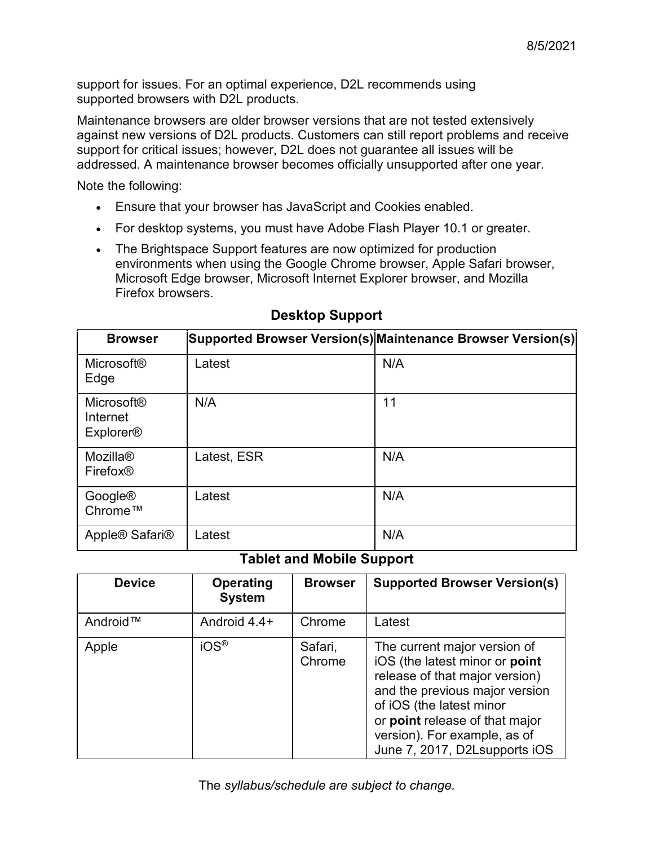support for issues. For an optimal experience, D2L recommends using supported browsers with D2L products.

Maintenance browsers are older browser versions that are not tested extensively against new versions of D2L products. Customers can still report problems and receive support for critical issues; however, D2L does not guarantee all issues will be addressed. A maintenance browser becomes officially unsupported after one year.

Note the following:

- Ensure that your browser has JavaScript and Cookies enabled.
- For desktop systems, you must have Adobe Flash Player 10.1 or greater.
- The Brightspace Support features are now optimized for production environments when using the Google Chrome browser, Apple Safari browser, Microsoft Edge browser, Microsoft Internet Explorer browser, and Mozilla Firefox browsers.

| <b>Browser</b>                                    |             | Supported Browser Version(s) Maintenance Browser Version(s) |
|---------------------------------------------------|-------------|-------------------------------------------------------------|
| <b>Microsoft®</b><br>Edge                         | Latest      | N/A                                                         |
| <b>Microsoft®</b><br>Internet<br><b>Explorer®</b> | N/A         | 11                                                          |
| <b>Mozilla®</b><br>Firefox <sup>®</sup>           | Latest, ESR | N/A                                                         |
| Google®<br>Chrome™                                | Latest      | N/A                                                         |
| Apple® Safari®                                    | Latest      | N/A                                                         |

### **Desktop Support**

#### **Tablet and Mobile Support**

| <b>Device</b> | <b>Operating</b><br><b>System</b> | <b>Browser</b>    | <b>Supported Browser Version(s)</b>                                                                                                                                                                                                                               |
|---------------|-----------------------------------|-------------------|-------------------------------------------------------------------------------------------------------------------------------------------------------------------------------------------------------------------------------------------------------------------|
| Android™      | Android 4.4+                      | Chrome            | Latest                                                                                                                                                                                                                                                            |
| Apple         | iOS <sup>®</sup>                  | Safari,<br>Chrome | The current major version of<br>iOS (the latest minor or point<br>release of that major version)<br>and the previous major version<br>of iOS (the latest minor<br>or point release of that major<br>version). For example, as of<br>June 7, 2017, D2Lsupports iOS |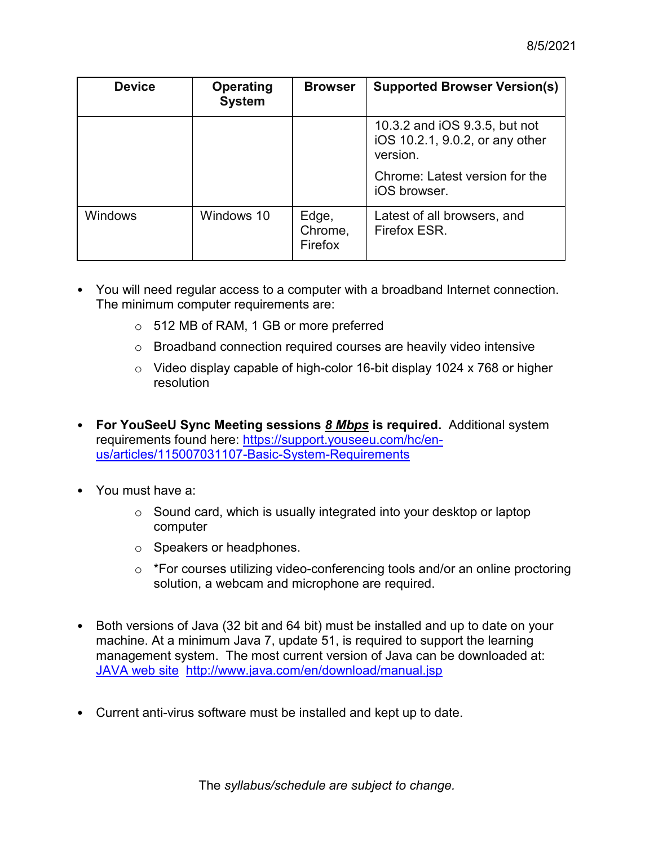| <b>Device</b>  | <b>Operating</b><br><b>System</b> | <b>Browser</b>              | <b>Supported Browser Version(s)</b>                                          |
|----------------|-----------------------------------|-----------------------------|------------------------------------------------------------------------------|
|                |                                   |                             | 10.3.2 and iOS 9.3.5, but not<br>iOS 10.2.1, 9.0.2, or any other<br>version. |
|                |                                   |                             | Chrome: Latest version for the<br>iOS browser.                               |
| <b>Windows</b> | Windows 10                        | Edge,<br>Chrome,<br>Firefox | Latest of all browsers, and<br>Firefox ESR.                                  |

- You will need regular access to a computer with a broadband Internet connection. The minimum computer requirements are:
	- o 512 MB of RAM, 1 GB or more preferred
	- o Broadband connection required courses are heavily video intensive
	- o Video display capable of high-color 16-bit display 1024 x 768 or higher resolution
- **For YouSeeU Sync Meeting sessions** *8 Mbps* **is required.** Additional system requirements found here: [https://support.youseeu.com/hc/en](https://support.youseeu.com/hc/en-us/articles/115007031107-Basic-System-Requirements)[us/articles/115007031107-Basic-System-Requirements](https://support.youseeu.com/hc/en-us/articles/115007031107-Basic-System-Requirements)
- You must have a:
	- o Sound card, which is usually integrated into your desktop or laptop computer
	- o Speakers or headphones.
	- o \*For courses utilizing video-conferencing tools and/or an online proctoring solution, a webcam and microphone are required.
- Both versions of Java (32 bit and 64 bit) must be installed and up to date on your machine. At a minimum Java 7, update 51, is required to support the learning management system. The most current version of Java can be downloaded at: [JAVA web site http://www.java.com/en/download/manual.jsp](http://www.java.com/en/download/manual.jsp)
- Current anti-virus software must be installed and kept up to date.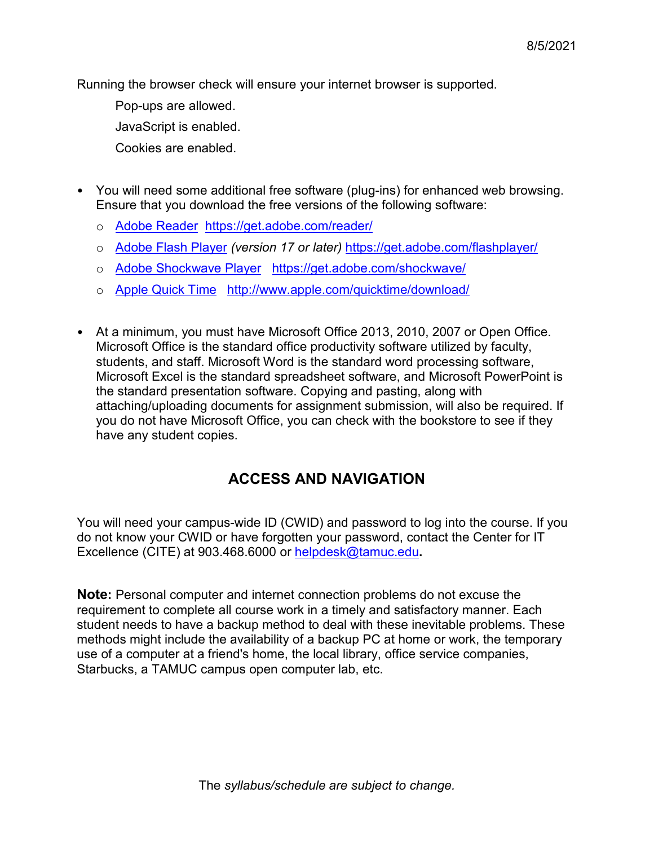Running the browser check will ensure your internet browser is supported.

Pop-ups are allowed.

JavaScript is enabled.

Cookies are enabled.

- You will need some additional free software (plug-ins) for enhanced web browsing. Ensure that you download the free versions of the following software:
	- o [Adobe Reader https://get.adobe.com/reader/](https://get.adobe.com/reader/)
	- o [Adobe Flash Player](https://get.adobe.com/flashplayer/) *(version 17 or later)* <https://get.adobe.com/flashplayer/>
	- o [Adobe Shockwave Player https://get.adobe.com/shockwave/](https://get.adobe.com/shockwave/)
	- o [Apple Quick Time http://www.apple.com/quicktime/download/](http://www.apple.com/quicktime/download/)
- At a minimum, you must have Microsoft Office 2013, 2010, 2007 or Open Office. Microsoft Office is the standard office productivity software utilized by faculty, students, and staff. Microsoft Word is the standard word processing software, Microsoft Excel is the standard spreadsheet software, and Microsoft PowerPoint is the standard presentation software. Copying and pasting, along with attaching/uploading documents for assignment submission, will also be required. If you do not have Microsoft Office, you can check with the bookstore to see if they have any student copies.

## **ACCESS AND NAVIGATION**

You will need your campus-wide ID (CWID) and password to log into the course. If you do not know your CWID or have forgotten your password, contact the Center for IT Excellence (CITE) at 903.468.6000 or [helpdesk@tamuc.edu](mailto:helpdesk@tamuc.edu)**.**

**Note:** Personal computer and internet connection problems do not excuse the requirement to complete all course work in a timely and satisfactory manner. Each student needs to have a backup method to deal with these inevitable problems. These methods might include the availability of a backup PC at home or work, the temporary use of a computer at a friend's home, the local library, office service companies, Starbucks, a TAMUC campus open computer lab, etc.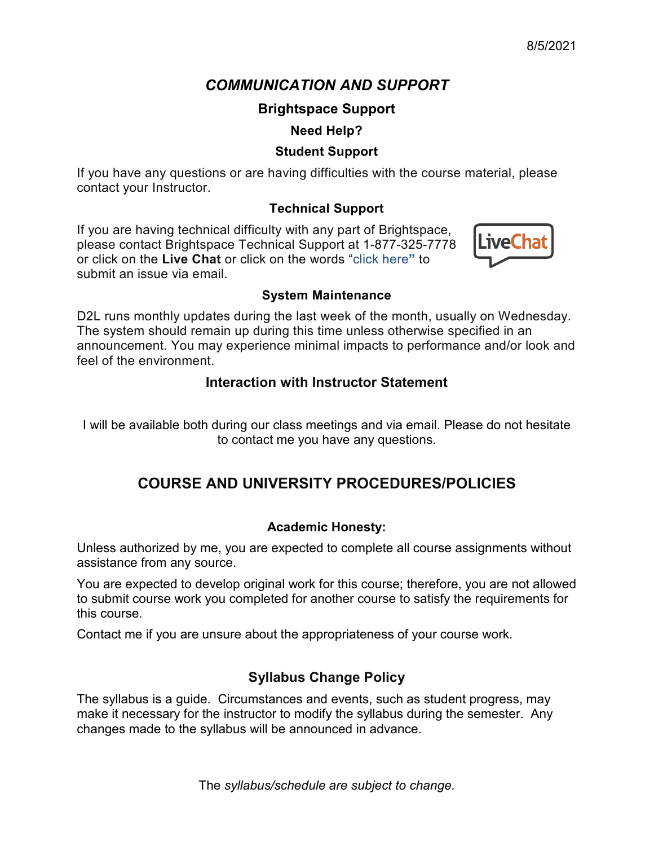## *COMMUNICATION AND SUPPORT*

### **Brightspace Support**

### **Need Help?**

### **Student Support**

If you have any questions or are having difficulties with the course material, please contact your Instructor.

### **Technical Support**

If you are having technical difficulty with any part of Brightspace, please contact Brightspace Technical Support at 1-877-325-7778 or click on the **Live Chat** or click on the words "click here**"** to submit an issue via email.



#### **System Maintenance**

D2L runs monthly updates during the last week of the month, usually on Wednesday. The system should remain up during this time unless otherwise specified in an announcement. You may experience minimal impacts to performance and/or look and feel of the environment.

### **Interaction with Instructor Statement**

I will be available both during our class meetings and via email. Please do not hesitate to contact me you have any questions.

## **COURSE AND UNIVERSITY PROCEDURES/POLICIES**

### **Academic Honesty:**

Unless authorized by me, you are expected to complete all course assignments without assistance from any source.

You are expected to develop original work for this course; therefore, you are not allowed to submit course work you completed for another course to satisfy the requirements for this course.

Contact me if you are unsure about the appropriateness of your course work.

## **Syllabus Change Policy**

The syllabus is a guide. Circumstances and events, such as student progress, may make it necessary for the instructor to modify the syllabus during the semester. Any changes made to the syllabus will be announced in advance.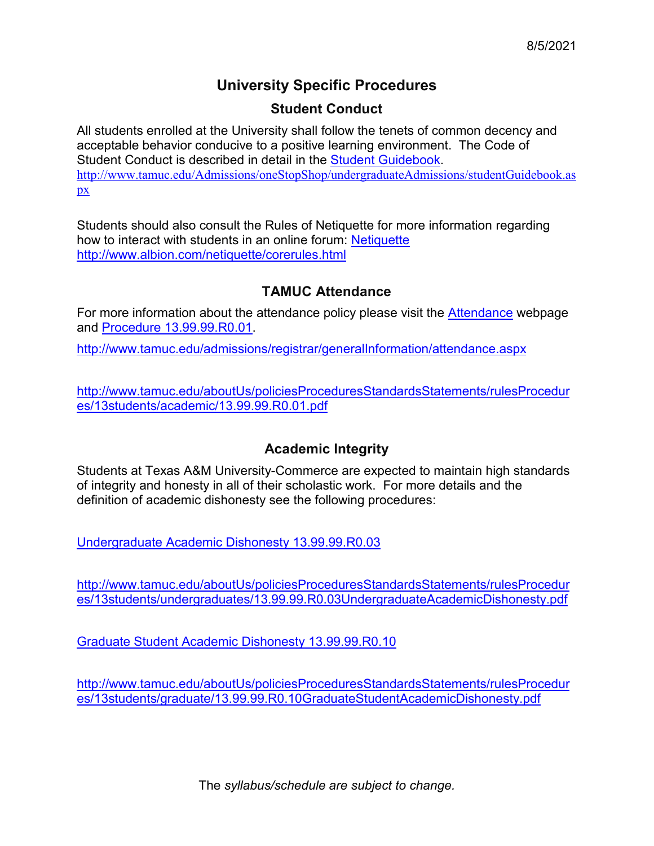## **University Specific Procedures**

### **Student Conduct**

All students enrolled at the University shall follow the tenets of common decency and acceptable behavior conducive to a positive learning environment. The Code of Student Conduct is described in detail in the [Student Guidebook.](http://www.tamuc.edu/Admissions/oneStopShop/undergraduateAdmissions/studentGuidebook.aspx) [http://www.tamuc.edu/Admissions/oneStopShop/undergraduateAdmissions/studentGuidebook.as](http://www.tamuc.edu/Admissions/oneStopShop/undergraduateAdmissions/studentGuidebook.aspx) [px](http://www.tamuc.edu/Admissions/oneStopShop/undergraduateAdmissions/studentGuidebook.aspx)

Students should also consult the Rules of Netiquette for more information regarding how to interact with students in an online forum: [Netiquette](http://www.albion.com/netiquette/corerules.html) <http://www.albion.com/netiquette/corerules.html>

### **TAMUC Attendance**

For more information about the attendance policy please visit the [Attendance](http://www.tamuc.edu/admissions/registrar/generalInformation/attendance.aspx) webpage and [Procedure 13.99.99.R0.01.](http://www.tamuc.edu/aboutUs/policiesProceduresStandardsStatements/rulesProcedures/13students/academic/13.99.99.R0.01.pdf)

<http://www.tamuc.edu/admissions/registrar/generalInformation/attendance.aspx>

[http://www.tamuc.edu/aboutUs/policiesProceduresStandardsStatements/rulesProcedur](http://www.tamuc.edu/aboutUs/policiesProceduresStandardsStatements/rulesProcedures/13students/academic/13.99.99.R0.01.pdf) [es/13students/academic/13.99.99.R0.01.pdf](http://www.tamuc.edu/aboutUs/policiesProceduresStandardsStatements/rulesProcedures/13students/academic/13.99.99.R0.01.pdf)

### **Academic Integrity**

Students at Texas A&M University-Commerce are expected to maintain high standards of integrity and honesty in all of their scholastic work. For more details and the definition of academic dishonesty see the following procedures:

[Undergraduate Academic Dishonesty 13.99.99.R0.03](http://www.tamuc.edu/aboutUs/policiesProceduresStandardsStatements/rulesProcedures/13students/undergraduates/13.99.99.R0.03UndergraduateAcademicDishonesty.pdf)

[http://www.tamuc.edu/aboutUs/policiesProceduresStandardsStatements/rulesProcedur](http://www.tamuc.edu/aboutUs/policiesProceduresStandardsStatements/rulesProcedures/13students/undergraduates/13.99.99.R0.03UndergraduateAcademicDishonesty.pdf) [es/13students/undergraduates/13.99.99.R0.03UndergraduateAcademicDishonesty.pdf](http://www.tamuc.edu/aboutUs/policiesProceduresStandardsStatements/rulesProcedures/13students/undergraduates/13.99.99.R0.03UndergraduateAcademicDishonesty.pdf)

[Graduate Student Academic Dishonesty 13.99.99.R0.10](http://www.tamuc.edu/aboutUs/policiesProceduresStandardsStatements/rulesProcedures/13students/graduate/13.99.99.R0.10GraduateStudentAcademicDishonesty.pdf)

[http://www.tamuc.edu/aboutUs/policiesProceduresStandardsStatements/rulesProcedur](http://www.tamuc.edu/aboutUs/policiesProceduresStandardsStatements/rulesProcedures/13students/graduate/13.99.99.R0.10GraduateStudentAcademicDishonesty.pdf) [es/13students/graduate/13.99.99.R0.10GraduateStudentAcademicDishonesty.pdf](http://www.tamuc.edu/aboutUs/policiesProceduresStandardsStatements/rulesProcedures/13students/graduate/13.99.99.R0.10GraduateStudentAcademicDishonesty.pdf)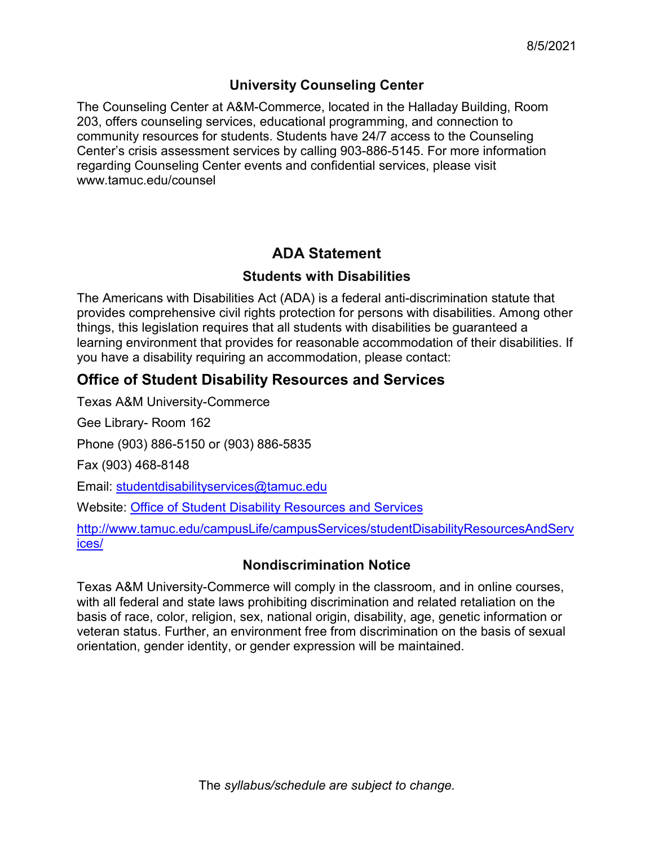### **University Counseling Center**

The Counseling Center at A&M-Commerce, located in the Halladay Building, Room 203, offers counseling services, educational programming, and connection to community resources for students. Students have 24/7 access to the Counseling Center's crisis assessment services by calling 903-886-5145. For more information regarding Counseling Center events and confidential services, please visit [www.tamuc.edu/counsel](http://www.tamuc.edu/counsel)

## **ADA Statement**

### **Students with Disabilities**

The Americans with Disabilities Act (ADA) is a federal anti-discrimination statute that provides comprehensive civil rights protection for persons with disabilities. Among other things, this legislation requires that all students with disabilities be guaranteed a learning environment that provides for reasonable accommodation of their disabilities. If you have a disability requiring an accommodation, please contact:

## **Office of Student Disability Resources and Services**

Texas A&M University-Commerce

Gee Library- Room 162

Phone (903) 886-5150 or (903) 886-5835

Fax (903) 468-8148

Email: [studentdisabilityservices@tamuc.edu](mailto:studentdisabilityservices@tamuc.edu)

Website: [Office of Student Disability Resources and Services](http://www.tamuc.edu/campusLife/campusServices/studentDisabilityResourcesAndServices/)

[http://www.tamuc.edu/campusLife/campusServices/studentDisabilityResourcesAndServ](http://www.tamuc.edu/campusLife/campusServices/studentDisabilityResourcesAndServices/) [ices/](http://www.tamuc.edu/campusLife/campusServices/studentDisabilityResourcesAndServices/)

## **Nondiscrimination Notice**

Texas A&M University-Commerce will comply in the classroom, and in online courses, with all federal and state laws prohibiting discrimination and related retaliation on the basis of race, color, religion, sex, national origin, disability, age, genetic information or veteran status. Further, an environment free from discrimination on the basis of sexual orientation, gender identity, or gender expression will be maintained.